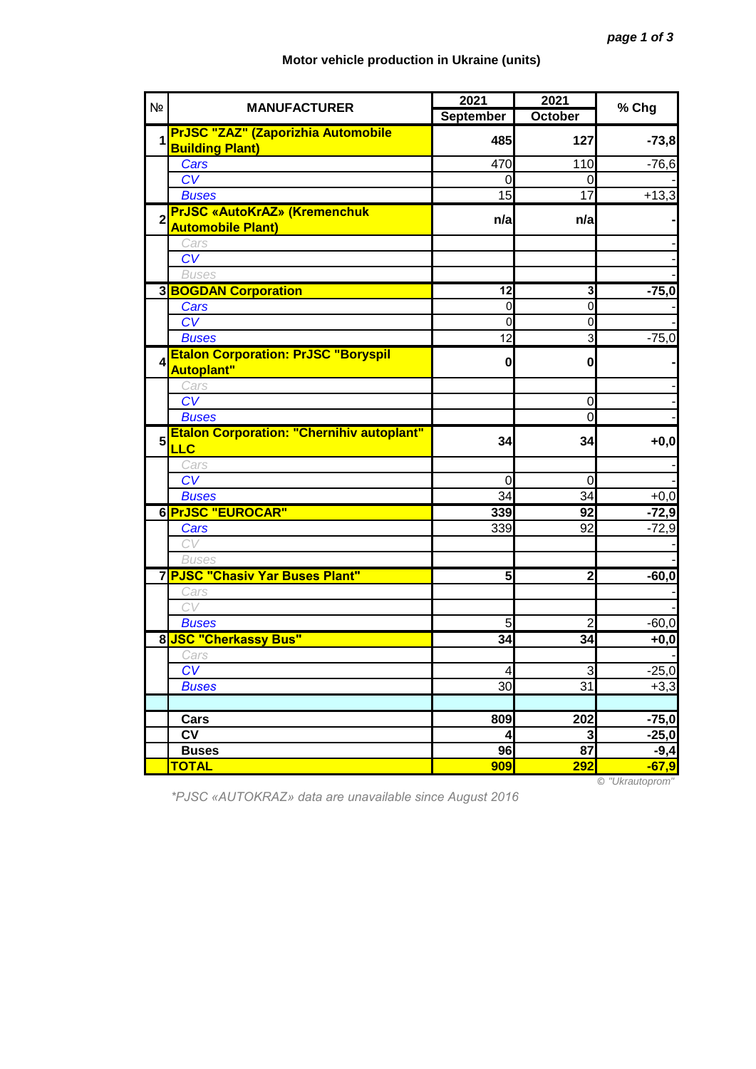## **Motor vehicle production in Ukraine (units)**

| N <sub>2</sub>   | <b>MANUFACTURER</b>                              | 2021             | 2021           | % Chg                                  |
|------------------|--------------------------------------------------|------------------|----------------|----------------------------------------|
|                  |                                                  | <b>September</b> | October        |                                        |
| 1                | <b>PrJSC "ZAZ" (Zaporizhia Automobile</b>        | 485              | 127            | $-73,8$                                |
|                  | <b>Building Plant)</b>                           |                  |                |                                        |
|                  | Cars                                             | 470              | 110            | $-76,6$                                |
|                  | CV                                               |                  | 0              |                                        |
|                  | <b>Buses</b>                                     | 15               | 17             | $+13,3$                                |
|                  | <b>PrJSC «AutoKrAZ» (Kremenchuk</b>              | n/a              | n/a            |                                        |
|                  | <b>Automobile Plant)</b>                         |                  |                |                                        |
|                  | Cars                                             |                  |                |                                        |
|                  | CV                                               |                  |                |                                        |
|                  | <b>Buses</b>                                     |                  |                |                                        |
|                  | <b>3 BOGDAN Corporation</b>                      | 12               | 3              | $-75,0$                                |
|                  | Cars                                             | $\mathbf 0$      | $\mathbf 0$    |                                        |
|                  | CV                                               | $\overline{0}$   | $\overline{0}$ |                                        |
|                  | <b>Buses</b>                                     | 12               | 3              | $-75,0$                                |
| $\boldsymbol{4}$ | <b>Etalon Corporation: PrJSC "Boryspil</b>       | $\mathbf 0$      | $\mathbf{0}$   |                                        |
|                  | <b>Autoplant"</b>                                |                  |                |                                        |
|                  | Cars                                             |                  |                |                                        |
|                  | $\overline{CV}$                                  |                  | $\mathbf 0$    |                                        |
|                  | <b>Buses</b>                                     |                  | O              |                                        |
| $5\phantom{.0}$  | <b>Etalon Corporation: "Chernihiv autoplant"</b> | 34               | 34             | $+0,0$                                 |
|                  | <b>LLC</b>                                       |                  |                |                                        |
|                  | Cars                                             |                  |                |                                        |
|                  | $\overline{\text{CV}}$                           | 0                | 0              |                                        |
|                  | <b>Buses</b>                                     | 34               | 34             | $+0,0$                                 |
|                  | 6 PrJSC "EUROCAR"                                | 339              | 92             | $-72,9$                                |
|                  | Cars                                             | 339              | 92             | $-72,9$                                |
|                  | CV                                               |                  |                |                                        |
|                  | <b>Buses</b>                                     |                  |                |                                        |
|                  | 7 PJSC "Chasiv Yar Buses Plant"                  | 5                | 2              | $-60,0$                                |
|                  | Cars                                             |                  |                |                                        |
|                  | CV                                               |                  |                |                                        |
|                  | <b>Buses</b>                                     | 5                | $\overline{2}$ | $-60,0$                                |
|                  | 8 JSC "Cherkassy Bus"                            | 34               | 34             | $+0,0$                                 |
|                  | Cars                                             |                  |                |                                        |
|                  | CV                                               | 4                | 3              | $-25,0$                                |
|                  | <b>Buses</b>                                     | 30               | 31             | $+3,3$                                 |
|                  |                                                  |                  |                |                                        |
|                  | Cars                                             | 809              | 202            | $-75,0$                                |
|                  | <b>CV</b>                                        | 4                | 3              | $-25,0$                                |
|                  | <b>Buses</b>                                     | 96               | 87             | $-9,4$                                 |
|                  | <b>TOTAL</b>                                     | 909              | <b>292</b>     | $-67,9$<br>$\odot$ "Iller $\circ$ utor |

*\*PJSC «AUTOKRAZ» data are unavailable since August 2016*

© *"Ukrautoprom"*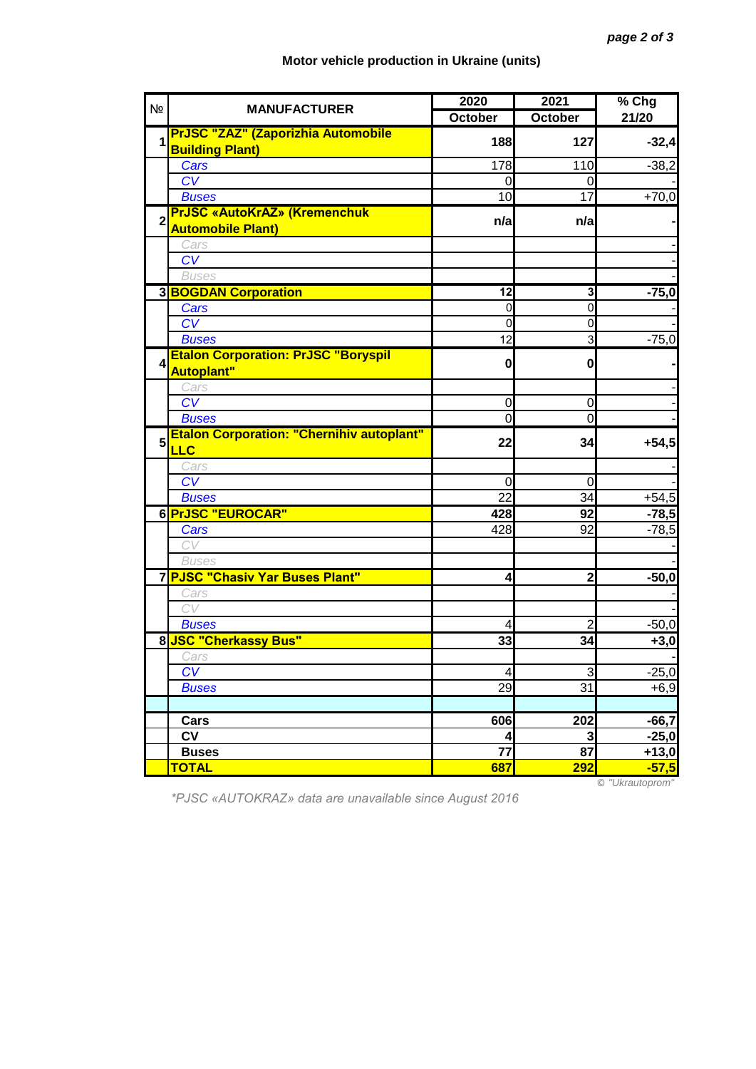## **Motor vehicle production in Ukraine (units)**

| N <sub>2</sub>          | <b>MANUFACTURER</b>                                                 | 2020            | 2021            | % Chg   |
|-------------------------|---------------------------------------------------------------------|-----------------|-----------------|---------|
|                         |                                                                     | <b>October</b>  | October         | 21/20   |
| 1                       | <b>PrJSC "ZAZ" (Zaporizhia Automobile</b><br><b>Building Plant)</b> | 188             | 127             | $-32,4$ |
|                         | Cars                                                                | 178             | 110             | $-38,2$ |
|                         | CV                                                                  | 0               | 0               |         |
|                         | <b>Buses</b>                                                        | 10              | $\overline{17}$ | $+70,0$ |
| $\overline{2}$          | <b>PrJSC «AutoKrAZ» (Kremenchuk</b><br><b>Automobile Plant)</b>     | n/a             | n/a             |         |
|                         | Cars                                                                |                 |                 |         |
|                         | CV                                                                  |                 |                 |         |
|                         | <b>Buses</b>                                                        |                 |                 |         |
|                         | <b>3 BOGDAN Corporation</b>                                         | 12              | 3               | $-75,0$ |
|                         | Cars                                                                | 0               | $\mathbf 0$     |         |
|                         | CV                                                                  | 0               | $\mathbf 0$     |         |
|                         | <b>Buses</b>                                                        | 12              | 3               | $-75,0$ |
| $\overline{\mathbf{A}}$ | <b>Etalon Corporation: PrJSC "Boryspil</b><br><b>Autoplant"</b>     | $\mathbf{0}$    | $\mathbf{0}$    |         |
|                         | Cars                                                                |                 |                 |         |
|                         | CV                                                                  | 0               | $\mathbf 0$     |         |
|                         | <b>Buses</b>                                                        | $\overline{0}$  | O               |         |
| 5                       | <b>Etalon Corporation: "Chernihiv autoplant"</b><br><b>LLC</b>      | 22              | 34              | $+54,5$ |
|                         | Cars                                                                |                 |                 |         |
|                         | $\overline{\text{CV}}$                                              | 0               | 0               |         |
|                         | <b>Buses</b>                                                        | 22              | 34              | $+54,5$ |
|                         | 6 PrJSC "EUROCAR"                                                   | 428             | 92              | $-78,5$ |
|                         | Cars                                                                | 428             | 92              | $-78,5$ |
|                         | CV                                                                  |                 |                 |         |
|                         | <b>Buses</b>                                                        |                 |                 |         |
|                         | 7 PJSC "Chasiv Yar Buses Plant"                                     | 4               | $\mathbf{2}$    | $-50,0$ |
|                         | Cars                                                                |                 |                 |         |
|                         | CV                                                                  |                 |                 |         |
|                         | <b>Buses</b>                                                        | 4               | $\overline{c}$  | $-50,0$ |
|                         | 8 JSC "Cherkassy Bus"                                               | 33              | 34              | $+3,0$  |
|                         | Cars                                                                |                 |                 |         |
|                         | CV                                                                  | 4               | 3               | $-25,0$ |
|                         | <b>Buses</b>                                                        | 29              | 31              | $+6,9$  |
|                         |                                                                     |                 |                 |         |
|                         | Cars                                                                | 606             | 202             | $-66,7$ |
|                         | <b>CV</b>                                                           | 4               | 3               | $-25,0$ |
|                         | <b>Buses</b>                                                        | $\overline{77}$ | 87              | $+13,0$ |
|                         | <b>TOTAL</b>                                                        | 687             | <b>292</b>      | $-57,5$ |

*\*PJSC «AUTOKRAZ» data are unavailable since August 2016*

© *"Ukrautoprom"*